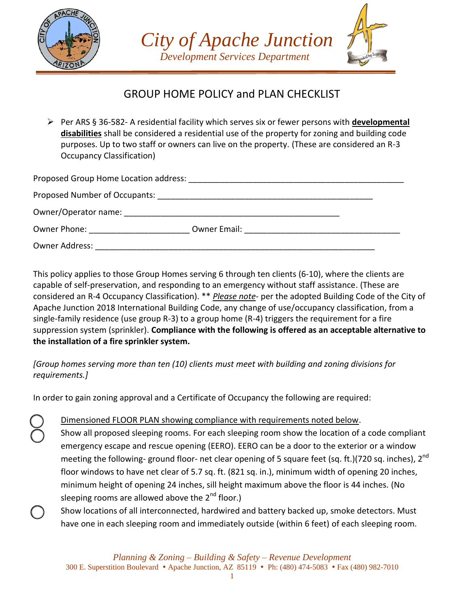





## GROUP HOME POLICY and PLAN CHECKLIST

 Per ARS § 36-582- A residential facility which serves six or fewer persons with **developmental disabilities** shall be considered a residential use of the property for zoning and building code purposes. Up to two staff or owners can live on the property. (These are considered an R-3 Occupancy Classification)

| Owner Phone: The Company of the Company of the Company of the Company of the Company of the Company of the Company of the Company of the Company of the Company of the Company of the Company of the Company of the Company of |  |
|--------------------------------------------------------------------------------------------------------------------------------------------------------------------------------------------------------------------------------|--|
| Owner Address:                                                                                                                                                                                                                 |  |

This policy applies to those Group Homes serving 6 through ten clients (6-10), where the clients are capable of self-preservation, and responding to an emergency without staff assistance. (These are considered an R-4 Occupancy Classification). \*\* *Please note*- per the adopted Building Code of the City of Apache Junction 2018 International Building Code, any change of use/occupancy classification, from a single-family residence (use group R-3) to a group home (R-4) triggers the requirement for a fire suppression system (sprinkler). **Compliance with the following is offered as an acceptable alternative to the installation of a fire sprinkler system.**

*[Group homes serving more than ten (10) clients must meet with building and zoning divisions for requirements.]*

In order to gain zoning approval and a Certificate of Occupancy the following are required:

Dimensioned FLOOR PLAN showing compliance with requirements noted below.

- Show all proposed sleeping rooms. For each sleeping room show the location of a code compliant emergency escape and rescue opening (EERO). EERO can be a door to the exterior or a window meeting the following- ground floor- net clear opening of 5 square feet (sq. ft.)(720 sq. inches), 2<sup>nd</sup> floor windows to have net clear of 5.7 sq. ft. (821 sq. in.), minimum width of opening 20 inches, minimum height of opening 24 inches, sill height maximum above the floor is 44 inches. (No sleeping rooms are allowed above the  $2^{nd}$  floor.)
- Show locations of all interconnected, hardwired and battery backed up, smoke detectors. Must have one in each sleeping room and immediately outside (within 6 feet) of each sleeping room.